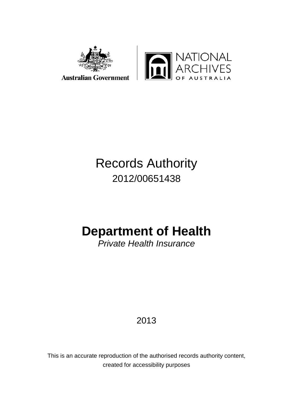



# Records Authority 2012/00651438

# **Department of Health**

*Private Health Insurance*

2013

This is an accurate reproduction of the authorised records authority content, created for accessibility purposes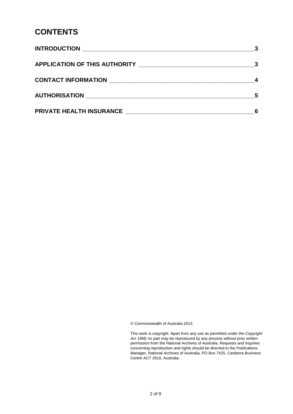#### **CONTENTS**

|                                                                              | $\overline{\mathbf{3}}$ |
|------------------------------------------------------------------------------|-------------------------|
|                                                                              |                         |
|                                                                              | -5                      |
| <b>PRIVATE HEALTH INSURANCE EXAMPLE THE SET OF STATE IN STATE OF STATE I</b> |                         |

© Commonwealth of Australia 2013

This work is copyright. Apart from any use as permitted under the *Copyright Act 1968,* no part may be reproduced by any process without prior written permission from the National Archives of Australia. Requests and inquiries concerning reproduction and rights should be directed to the Publications Manager, National Archives of Australia, PO Box 7425, Canberra Business Centre ACT 2610, Australia.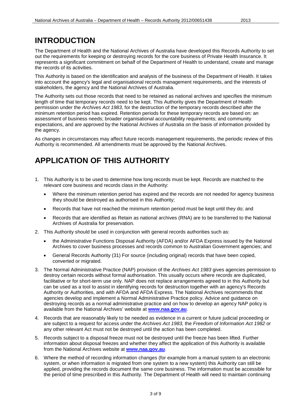#### <span id="page-2-0"></span>**INTRODUCTION**

The Department of Health and the National Archives of Australia have developed this Records Authority to set out the requirements for keeping or destroying records for the core business of Private Health Insurance. It represents a significant commitment on behalf of the Department of Health to understand, create and manage the records of its activities.

This Authority is based on the identification and analysis of the business of the Department of Health. It takes into account the agency's legal and organisational records management requirements, and the interests of stakeholders, the agency and the National Archives of Australia.

The Authority sets out those records that need to be retained as national archives and specifies the minimum length of time that temporary records need to be kept. This Authority gives the Department of Health permission under the *Archives Act 1983*, for the destruction of the temporary records described after the minimum retention period has expired. Retention periods for these temporary records are based on: an assessment of business needs; broader organisational accountability requirements; and community expectations, and are approved by the National Archives of Australia on the basis of information provided by the agency.

As changes in circumstances may affect future records management requirements, the periodic review of this Authority is recommended. All amendments must be approved by the National Archives.

### <span id="page-2-1"></span>**APPLICATION OF THIS AUTHORITY**

- 1. This Authority is to be used to determine how long records must be kept. Records are matched to the relevant core business and records class in the Authority:
	- Where the minimum retention period has expired and the records are not needed for agency business they should be destroyed as authorised in this Authority;
	- Records that have not reached the minimum retention period must be kept until they do; and
	- Records that are identified as Retain as national archives (RNA) are to be transferred to the National Archives of Australia for preservation.
- 2. This Authority should be used in conjunction with general records authorities such as:
	- the Administrative Functions Disposal Authority (AFDA) and/or AFDA Express issued by the National Archives to cover business processes and records common to Australian Government agencies; and
	- General Records Authority (31) For source (including original) records that have been copied, converted or migrated.
- 3. The Normal Administrative Practice (NAP) provision of the *Archives Act 1983* gives agencies permission to destroy certain records without formal authorisation. This usually occurs where records are duplicated, facilitative or for short-term use only. NAP does not replace arrangements agreed to in this Authority but can be used as a tool to assist in identifying records for destruction together with an agency's Records Authority or Authorities, and with AFDA and AFDA Express. The National Archives recommends that agencies develop and implement a Normal Administrative Practice policy. Advice and guidance on destroying records as a normal administrative practice and on how to develop an agency NAP policy is available from the National Archives' website at **[www.naa.gov.au](http://www.naa.gov.au/)**.
- 4. Records that are reasonably likely to be needed as evidence in a current or future judicial proceeding or are subject to a request for access under the *Archives Act 1983,* the *Freedom of Information Act 1982* or any other relevant Act must not be destroyed until the action has been completed.
- 5. Records subject to a disposal freeze must not be destroyed until the freeze has been lifted. Further information about disposal freezes and whether they affect the application of this Authority is available from the National Archives website at **[www.naa.gov.au](http://www.naa.gov.au/)**.
- 6. Where the method of recording information changes (for example from a manual system to an electronic system, or when information is migrated from one system to a new system) this Authority can still be applied, providing the records document the same core business. The information must be accessible for the period of time prescribed in this Authority. The Department of Health will need to maintain continuing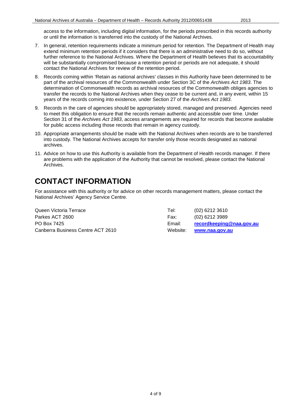access to the information, including digital information, for the periods prescribed in this records authority or until the information is transferred into the custody of the National Archives.

- 7. In general, retention requirements indicate a minimum period for retention. The Department of Health may extend minimum retention periods if it considers that there is an administrative need to do so, without further reference to the National Archives. Where the Department of Health believes that its accountability will be substantially compromised because a retention period or periods are not adequate, it should contact the National Archives for review of the retention period.
- 8. Records coming within 'Retain as national archives' classes in this Authority have been determined to be part of the archival resources of the Commonwealth under Section 3C of the *Archives Act 1983*. The determination of Commonwealth records as archival resources of the Commonwealth obliges agencies to transfer the records to the National Archives when they cease to be current and, in any event, within 15 years of the records coming into existence, under Section 27 of the *Archives Act 1983*.
- 9. Records in the care of agencies should be appropriately stored, managed and preserved. Agencies need to meet this obligation to ensure that the records remain authentic and accessible over time. Under Section 31 of the *Archives Act 1983*, access arrangements are required for records that become available for public access including those records that remain in agency custody.
- 10. Appropriate arrangements should be made with the National Archives when records are to be transferred into custody. The National Archives accepts for transfer only those records designated as national archives.
- 11. Advice on how to use this Authority is available from the Department of Health records manager. If there are problems with the application of the Authority that cannot be resolved, please contact the National Archives.

#### <span id="page-3-0"></span>**CONTACT INFORMATION**

For assistance with this authority or for advice on other records management matters, please contact the National Archives' Agency Service Centre.

Queen Victoria Terrace Tel: (02) 6212 3610 Parkes ACT 2600 Farkes ACT 2600 Fax: (02) 6212 3989 PO Box 7425 Email: **[recordkeeping@naa.gov.au](mailto:recordkeeping@naa.gov.au)** Canberra Business Centre ACT 2610 Website: **[www.naa.gov.au](http://www.naa.gov.au/)**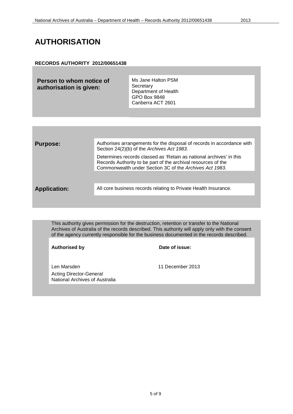#### <span id="page-4-0"></span>**AUTHORISATION**

#### **RECORDS AUTHORITY 2012/00651438**

| Person to whom notice of<br>authorisation is given: | Ms Jane Halton PSM<br>Secretary<br>Department of Health<br><b>GPO Box 9848</b> |
|-----------------------------------------------------|--------------------------------------------------------------------------------|
|                                                     | Canberra ACT 2601                                                              |

| <b>Purpose:</b>     | Authorises arrangements for the disposal of records in accordance with<br>Section 24(2)(b) of the Archives Act 1983.                                                                            |
|---------------------|-------------------------------------------------------------------------------------------------------------------------------------------------------------------------------------------------|
|                     | Determines records classed as 'Retain as national archives' in this<br>Records Authority to be part of the archival resources of the<br>Commonwealth under Section 3C of the Archives Act 1983. |
|                     |                                                                                                                                                                                                 |
| <b>Application:</b> | All core business records relating to Private Health Insurance.                                                                                                                                 |
|                     |                                                                                                                                                                                                 |

This authority gives permission for the destruction, retention or transfer to the National Archives of Australia of the records described. This authority will apply only with the consent of the agency currently responsible for the business documented in the records described.

| <b>Authorised by</b>                                             | Date of issue:   |
|------------------------------------------------------------------|------------------|
| Len Marsden                                                      | 11 December 2013 |
| <b>Acting Director-General</b><br>National Archives of Australia |                  |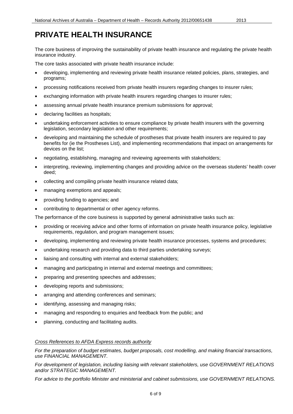<span id="page-5-0"></span>The core business of improving the sustainability of private health insurance and regulating the private health insurance industry.

The core tasks associated with private health insurance include:

- developing, implementing and reviewing private health insurance related policies, plans, strategies, and programs;
- processing notifications received from private health insurers regarding changes to insurer rules;
- exchanging information with private health insurers regarding changes to insurer rules;
- assessing annual private health insurance premium submissions for approval;
- declaring facilities as hospitals;
- undertaking enforcement activities to ensure compliance by private health insurers with the governing legislation, secondary legislation and other requirements;
- developing and maintaining the schedule of prostheses that private health insurers are required to pay benefits for (ie the Prostheses List), and implementing recommendations that impact on arrangements for devices on the list;
- negotiating, establishing, managing and reviewing agreements with stakeholders;
- interpreting, reviewing, implementing changes and providing advice on the overseas students' health cover deed;
- collecting and compiling private health insurance related data;
- managing exemptions and appeals;
- providing funding to agencies; and
- contributing to departmental or other agency reforms.

The performance of the core business is supported by general administrative tasks such as:

- providing or receiving advice and other forms of information on private health insurance policy, legislative requirements, regulation, and program management issues;
- developing, implementing and reviewing private health insurance processes, systems and procedures;
- undertaking research and providing data to third parties undertaking surveys;
- liaising and consulting with internal and external stakeholders;
- managing and participating in internal and external meetings and committees;
- preparing and presenting speeches and addresses;
- developing reports and submissions;
- arranging and attending conferences and seminars;
- identifying, assessing and managing risks;
- managing and responding to enquiries and feedback from the public; and
- planning, conducting and facilitating audits.

#### *Cross References to AFDA Express records authority*

*For the preparation of budget estimates, budget proposals, cost modelling, and making financial transactions, use FINANCIAL MANAGEMENT.*

*For development of legislation, including liaising with relevant stakeholders, use GOVERNMENT RELATIONS and/or STRATEGIC MANAGEMENT.*

*For advice to the portfolio Minister and ministerial and cabinet submissions, use GOVERNMENT RELATIONS.*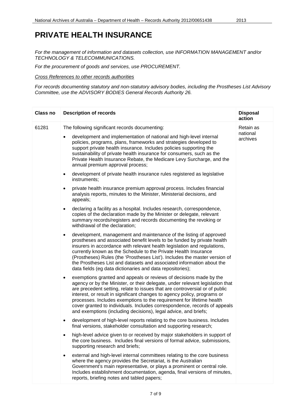*For the management of information and datasets collection, use INFORMATION MANAGEMENT and/or TECHNOLOGY & TELECOMMUNICATIONS.* 

*For the procurement of goods and services, use PROCUREMENT.*

*Cross References to other records authorities*

*For records documenting statutory and non-statutory advisory bodies, including the Prostheses List Advisory Committee, use the ADVISORY BODIES General Records Authority 26.*

| <b>Class no</b> | <b>Description of records</b>                                                                                                                                                                                                                                                                                                                                                                                                                                                                                                                        | <b>Disposal</b><br>action         |
|-----------------|------------------------------------------------------------------------------------------------------------------------------------------------------------------------------------------------------------------------------------------------------------------------------------------------------------------------------------------------------------------------------------------------------------------------------------------------------------------------------------------------------------------------------------------------------|-----------------------------------|
| 61281           | The following significant records documenting:<br>development and implementation of national and high-level internal<br>policies, programs, plans, frameworks and strategies developed to<br>support private health insurance. Includes policies supporting the<br>sustainability of private health insurance for consumers, such as the<br>Private Health Insurance Rebate, the Medicare Levy Surcharge, and the<br>annual premium approval process;                                                                                                | Retain as<br>national<br>archives |
|                 | development of private health insurance rules registered as legislative<br>$\bullet$<br>instruments;<br>private health insurance premium approval process. Includes financial<br>$\bullet$                                                                                                                                                                                                                                                                                                                                                           |                                   |
|                 | analysis reports, minutes to the Minister, Ministerial decisions, and<br>appeals;                                                                                                                                                                                                                                                                                                                                                                                                                                                                    |                                   |
|                 | declaring a facility as a hospital. Includes research, correspondence,<br>$\bullet$<br>copies of the declaration made by the Minister or delegate, relevant<br>summary records/registers and records documenting the revoking or<br>withdrawal of the declaration;                                                                                                                                                                                                                                                                                   |                                   |
|                 | development, management and maintenance of the listing of approved<br>$\bullet$<br>prostheses and associated benefit levels to be funded by private health<br>insurers in accordance with relevant health legislation and regulations,<br>currently known as the Schedule to the Private Health Insurance<br>(Prostheses) Rules (the 'Prostheses List'). Includes the master version of<br>the Prostheses List and datasets and associated information about the<br>data fields (eg data dictionaries and data repositories);                        |                                   |
|                 | exemptions granted and appeals or reviews of decisions made by the<br>$\bullet$<br>agency or by the Minister, or their delegate, under relevant legislation that<br>are precedent setting, relate to issues that are controversial or of public<br>interest, or result in significant changes to agency policy, programs or<br>processes. Includes exemptions to the requirement for lifetime health<br>cover granted to individuals. Includes correspondence, records of appeals<br>and exemptions (including decisions), legal advice, and briefs; |                                   |
|                 | development of high-level reports relating to the core business. Includes<br>final versions, stakeholder consultation and supporting research;                                                                                                                                                                                                                                                                                                                                                                                                       |                                   |
|                 | high-level advice given to or received by major stakeholders in support of<br>the core business. Includes final versions of formal advice, submissions,<br>supporting research and briefs;                                                                                                                                                                                                                                                                                                                                                           |                                   |
|                 | external and high-level internal committees relating to the core business<br>where the agency provides the Secretariat, is the Australian<br>Government's main representative, or plays a prominent or central role.<br>Includes establishment documentation, agenda, final versions of minutes,<br>reports, briefing notes and tabled papers;                                                                                                                                                                                                       |                                   |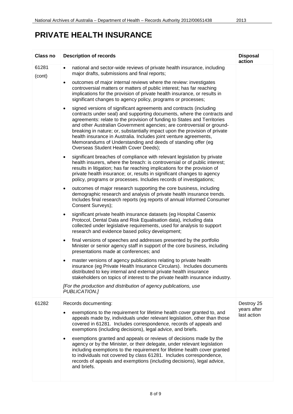| <b>Class no</b> | <b>Description of records</b>                                                                                                                                                                                                                                                                                                                                                                                                                                                                                                                                                | <b>Disposal</b><br>action |
|-----------------|------------------------------------------------------------------------------------------------------------------------------------------------------------------------------------------------------------------------------------------------------------------------------------------------------------------------------------------------------------------------------------------------------------------------------------------------------------------------------------------------------------------------------------------------------------------------------|---------------------------|
| 61281<br>(cont) | national and sector-wide reviews of private health insurance, including<br>$\bullet$<br>major drafts, submissions and final reports;                                                                                                                                                                                                                                                                                                                                                                                                                                         |                           |
|                 | outcomes of major internal reviews where the review: investigates<br>$\bullet$<br>controversial matters or matters of public interest; has far reaching<br>implications for the provision of private health insurance, or results in<br>significant changes to agency policy, programs or processes;                                                                                                                                                                                                                                                                         |                           |
|                 | signed versions of significant agreements and contracts (including<br>$\bullet$<br>contracts under seal) and supporting documents, where the contracts and<br>agreements: relate to the provision of funding to States and Territories<br>and other Australian Government agencies; are controversial or ground-<br>breaking in nature; or, substantially impact upon the provision of private<br>health insurance in Australia. Includes joint venture agreements,<br>Memorandums of Understanding and deeds of standing offer (eg<br>Overseas Student Health Cover Deeds); |                           |
|                 | significant breaches of compliance with relevant legislation by private<br>$\bullet$<br>health insurers, where the breach: is controversial or of public interest;<br>results in litigation; has far reaching implications for the provision of<br>private health insurance; or, results in significant changes to agency<br>policy, programs or processes. Includes records of investigations;                                                                                                                                                                              |                           |
|                 | outcomes of major research supporting the core business, including<br>$\bullet$<br>demographic research and analysis of private health insurance trends.<br>Includes final research reports (eg reports of annual Informed Consumer<br>Consent Surveys);                                                                                                                                                                                                                                                                                                                     |                           |
|                 | significant private health insurance datasets (eg Hospital Casemix<br>٠<br>Protocol, Dental Data and Risk Equalisation data), including data<br>collected under legislative requirements, used for analysis to support<br>research and evidence based policy development;                                                                                                                                                                                                                                                                                                    |                           |
|                 | final versions of speeches and addresses presented by the portfolio<br>٠<br>Minister or senior agency staff in support of the core business, including<br>presentations made at conferences; and                                                                                                                                                                                                                                                                                                                                                                             |                           |
|                 | master versions of agency publications relating to private health<br>٠<br>insurance (eg Private Health Insurance Circulars). Includes documents<br>distributed to key internal and external private health insurance<br>stakeholders on topics of interest to the private health insurance industry.                                                                                                                                                                                                                                                                         |                           |
|                 | [For the production and distribution of agency publications, use<br>PUBLICATION.]                                                                                                                                                                                                                                                                                                                                                                                                                                                                                            |                           |
| 61282           | Records documenting:                                                                                                                                                                                                                                                                                                                                                                                                                                                                                                                                                         | Destroy 25<br>years after |
|                 | exemptions to the requirement for lifetime health cover granted to, and<br>٠<br>appeals made by, individuals under relevant legislation, other than those<br>covered in 61281. Includes correspondence, records of appeals and<br>exemptions (including decisions), legal advice, and briefs.                                                                                                                                                                                                                                                                                | last action               |
|                 | exemptions granted and appeals or reviews of decisions made by the<br>٠<br>agency or by the Minister, or their delegate, under relevant legislation<br>including exemptions to the requirement for lifetime health cover granted<br>to individuals not covered by class 61281. Includes correspondence,<br>records of appeals and exemptions (including decisions), legal advice,<br>and briefs.                                                                                                                                                                             |                           |